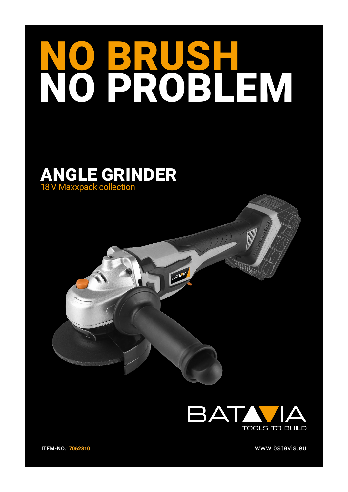## NO BRUSH NO PROBLEM

## ANGLE GRINDER 18 V Maxxpack collection





www.batavia.eu

**ITEM-NO.:** 7062810